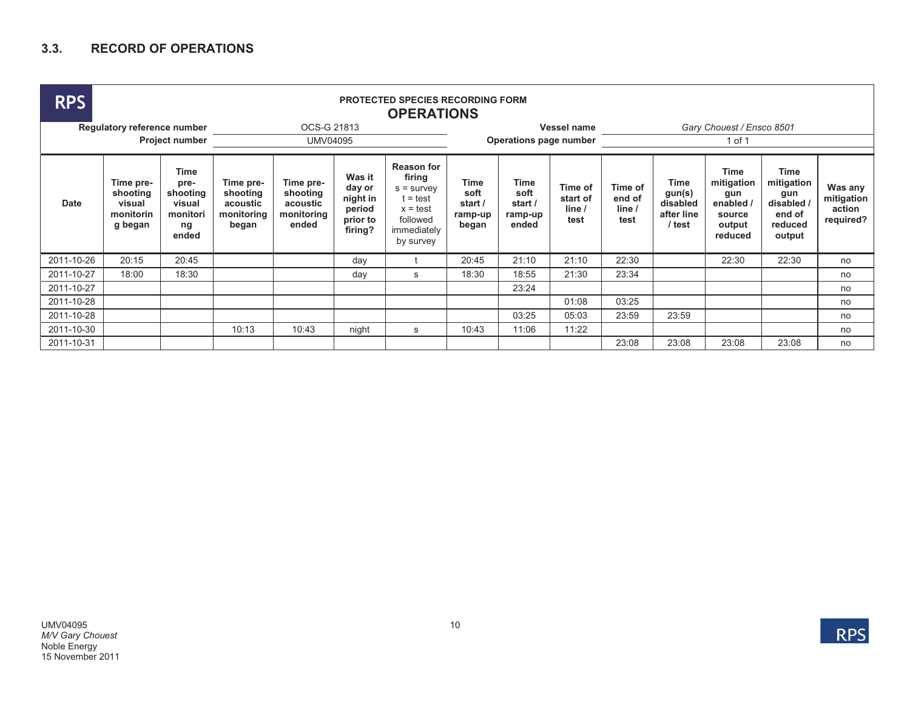## **3.3. RECORD OF OPERATIONS**

| <b>RPS</b>                  | <b>PROTECTED SPECIES RECORDING FORM</b><br><b>OPERATIONS</b> |                                                               |                                                          |                                                          |                                                               |                                                                                                                 |                                             |                                                    |                                       |                                     |                                                           |                                                                       |                                                                        |                                              |  |
|-----------------------------|--------------------------------------------------------------|---------------------------------------------------------------|----------------------------------------------------------|----------------------------------------------------------|---------------------------------------------------------------|-----------------------------------------------------------------------------------------------------------------|---------------------------------------------|----------------------------------------------------|---------------------------------------|-------------------------------------|-----------------------------------------------------------|-----------------------------------------------------------------------|------------------------------------------------------------------------|----------------------------------------------|--|
| Regulatory reference number |                                                              |                                                               |                                                          |                                                          |                                                               | Vessel name                                                                                                     | Gary Chouest / Ensco 8501                   |                                                    |                                       |                                     |                                                           |                                                                       |                                                                        |                                              |  |
| <b>Project number</b>       |                                                              |                                                               |                                                          |                                                          | Operations page number                                        |                                                                                                                 | 1 of 1                                      |                                                    |                                       |                                     |                                                           |                                                                       |                                                                        |                                              |  |
| Date                        | Time pre-<br>shooting<br>visual<br>monitorin<br>g began      | Time<br>pre-<br>shooting<br>visual<br>monitori<br>ng<br>ended | Time pre-<br>shooting<br>acoustic<br>monitoring<br>began | Time pre-<br>shooting<br>acoustic<br>monitoring<br>ended | Was it<br>day or<br>night in<br>period<br>prior to<br>firing? | <b>Reason for</b><br>firing<br>$s =$ survey<br>$t = test$<br>$x = test$<br>followed<br>immediately<br>by survey | Time<br>soft<br>start /<br>ramp-up<br>began | <b>Time</b><br>soft<br>start /<br>ramp-up<br>ended | Time of<br>start of<br>line /<br>test | Time of<br>end of<br>line /<br>test | <b>Time</b><br>gun(s)<br>disabled<br>after line<br>/ test | Time<br>mitigation<br>gun<br>enabled /<br>source<br>output<br>reduced | Time<br>mitigation<br>gun<br>disabled /<br>end of<br>reduced<br>output | Was any<br>mitigation<br>action<br>required? |  |
| 2011-10-26                  | 20:15                                                        | 20:45                                                         |                                                          |                                                          | day                                                           |                                                                                                                 | 20:45                                       | 21:10                                              | 21:10                                 | 22:30                               |                                                           | 22:30                                                                 | 22:30                                                                  | no                                           |  |
| 2011-10-27                  | 18:00                                                        | 18:30                                                         |                                                          |                                                          | day                                                           | s                                                                                                               | 18:30                                       | 18:55                                              | 21:30                                 | 23:34                               |                                                           |                                                                       |                                                                        | no                                           |  |
| 2011-10-27                  |                                                              |                                                               |                                                          |                                                          |                                                               |                                                                                                                 |                                             | 23:24                                              |                                       |                                     |                                                           |                                                                       |                                                                        | no                                           |  |
| 2011-10-28                  |                                                              |                                                               |                                                          |                                                          |                                                               |                                                                                                                 |                                             |                                                    | 01:08                                 | 03:25                               |                                                           |                                                                       |                                                                        | no                                           |  |
| 2011-10-28                  |                                                              |                                                               |                                                          |                                                          |                                                               |                                                                                                                 |                                             | 03:25                                              | 05:03                                 | 23:59                               | 23:59                                                     |                                                                       |                                                                        | no                                           |  |
| 2011-10-30                  |                                                              |                                                               | 10:13                                                    | 10:43                                                    | night                                                         | s                                                                                                               | 10:43                                       | 11:06                                              | 11:22                                 |                                     |                                                           |                                                                       |                                                                        | no                                           |  |
| 2011-10-31                  |                                                              |                                                               |                                                          |                                                          |                                                               |                                                                                                                 |                                             |                                                    |                                       | 23:08                               | 23:08                                                     | 23:08                                                                 | 23:08                                                                  | no                                           |  |